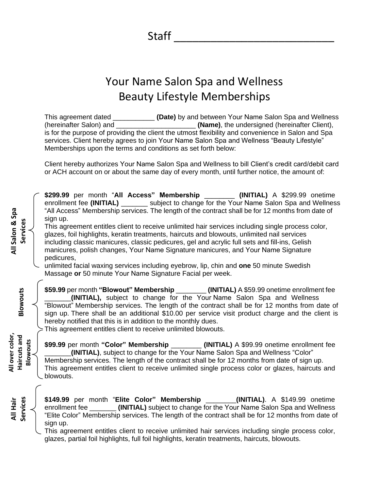Staff

## Your Name Salon Spa and Wellness Beauty Lifestyle Memberships

This agreement dated \_\_\_\_\_\_\_\_\_\_\_ **(Date)** by and between Your Name Salon Spa and Wellness (hereinafter Salon) and \_\_\_\_\_\_\_\_\_\_\_\_\_\_\_\_\_\_\_\_\_ **(Name)**, the undersigned (hereinafter Client), is for the purpose of providing the client the utmost flexibility and convenience in Salon and Spa services. Client hereby agrees to join Your Name Salon Spa and Wellness "Beauty Lifestyle" Memberships upon the terms and conditions as set forth below:

Client hereby authorizes Your Name Salon Spa and Wellness to bill Client's credit card/debit card or ACH account on or about the same day of every month, until further notice, the amount of:

**\$299.99** per month "**All Access" Membership** \_\_\_\_\_\_\_\_ **(INITIAL)** A \$299.99 onetime enrollment fee **(INITIAL)** \_\_\_\_\_\_\_ subject to change for the Your Name Salon Spa and Wellness "All Access" Membership services. The length of the contract shall be for 12 months from date of sign up.

This agreement entitles client to receive unlimited hair services including single process color, glazes, foil highlights, keratin treatments, haircuts and blowouts, unlimited nail services including classic manicures, classic pedicures, gel and acrylic full sets and fill-ins, Gelish manicures, polish changes, Your Name Signature manicures, and Your Name Signature pedicures,

unlimited facial waxing services including eyebrow, lip, chin and **one** 50 minute Swedish Massage **or** 50 minute Your Name Signature Facial per week.

**\$59.99** per month **"Blowout" Membership** \_\_\_\_\_\_\_\_ **(INITIAL)** A \$59.99 onetime enrollment fee \_\_\_\_\_\_\_**(INITIAL),** subject to change for the Your Name Salon Spa and Wellness "Blowout" Membership services. The length of the contract shall be for 12 months from date of sign up. There shall be an additional \$10.00 per service visit product charge and the client is hereby notified that this is in addition to the monthly dues.

This agreement entitles client to receive unlimited blowouts.

**All Salon & Spa Services**

All Salon & Spa

**Blowouts**

**All over color, Haircuts and Blowouts**

All over color, Haircuts and

> **All Hair Services**

**\$99.99** per month **"Color" Membership** \_\_\_\_\_\_\_\_ **(INITIAL)** A \$99.99 onetime enrollment fee \_\_\_\_\_\_\_**(INITIAL)**, subject to change for the Your Name Salon Spa and Wellness "Color" Membership services. The length of the contract shall be for 12 months from date of sign up. This agreement entitles client to receive unlimited single process color or glazes, haircuts and blowouts.

**\$149.99** per month "**Elite Color" Membership** \_\_\_\_\_\_\_\_**(INITIAL)**. A \$149.99 onetime enrollment fee \_\_\_\_\_\_\_ **(INITIAL)** subject to change for the Your Name Salon Spa and Wellness "Elite Color" Membership services. The length of the contract shall be for 12 months from date of sign up.

This agreement entitles client to receive unlimited hair services including single process color, glazes, partial foil highlights, full foil highlights, keratin treatments, haircuts, blowouts.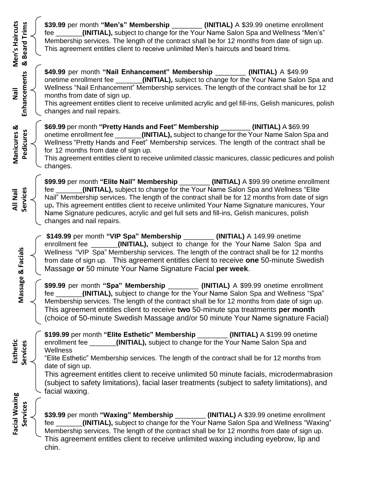| Men's Haircuts            | Trims<br>& Beard    | \$39.99 per month "Men's" Membership _______ (INITIAL) A \$39.99 onetime enrollment<br>(INITIAL), subject to change for the Your Name Salon Spa and Wellness "Men's"<br>fee <b>the contract of the contract of the contract</b> of the contract of the contract of the contract of the contract of the contract of the contract of the contract of the contract of the contract of the contract of the cont<br>Membership services. The length of the contract shall be for 12 months from date of sign up.<br>This agreement entitles client to receive unlimited Men's haircuts and beard trims. |  |  |
|---------------------------|---------------------|----------------------------------------------------------------------------------------------------------------------------------------------------------------------------------------------------------------------------------------------------------------------------------------------------------------------------------------------------------------------------------------------------------------------------------------------------------------------------------------------------------------------------------------------------------------------------------------------------|--|--|
| lieN                      | <b>Enhancements</b> | \$49.99 per month "Nail Enhancement" Membership ________ (INITIAL) A \$49.99<br>onetime enrollment fee _______(INITIAL), subject to change for the Your Name Salon Spa and<br>Wellness "Nail Enhancement" Membership services. The length of the contract shall be for 12<br>months from date of sign up.<br>This agreement entitles client to receive unlimited acrylic and gel fill-ins, Gelish manicures, polish<br>changes and nail repairs.                                                                                                                                                   |  |  |
| Manicures &               | Pedicures           | \$69.99 per month "Pretty Hands and Feet" Membership _________(INITIAL) A \$69.99<br>onetime enrollment fee _______(INITIAL), subject to change for the Your Name Salon Spa and<br>Wellness "Pretty Hands and Feet" Membership services. The length of the contract shall be<br>for 12 months from date of sign up.<br>This agreement entitles client to receive unlimited classic manicures, classic pedicures and polish<br>changes.                                                                                                                                                             |  |  |
| All Nail                  | Services            | \$99.99 per month "Elite Nail" Membership ________ (INITIAL) A \$99.99 onetime enrollment<br>(INITIAL), subject to change for the Your Name Salon Spa and Wellness "Elite<br>fee _______<br>Nail" Membership services. The length of the contract shall be for 12 months from date of sign<br>up. This agreement entitles client to receive unlimited Your Name Signature manicures, Your<br>Name Signature pedicures, acrylic and gel full sets and fill-ins, Gelish manicures, polish<br>changes and nail repairs.                                                                               |  |  |
| Massage & Facials         |                     | \$149.99 per month "VIP Spa" Membership ________ (INITIAL) A 149.99 onetime<br>enrollment fee ______(INITIAL), subject to change for the Your Name Salon Spa and<br>Wellness "VIP Spa" Membership services. The length of the contract shall be for 12 months<br>from date of sign up. This agreement entitles client to receive one 50-minute Swedish<br>Massage or 50 minute Your Name Signature Facial per week.                                                                                                                                                                                |  |  |
|                           |                     | \$99.99 per month "Spa" Membership ________ (INITIAL) A \$99.99 onetime enrollment<br>(INITIAL), subject to change for the Your Name Salon Spa and Wellness "Spa"<br>fee<br>Membership services. The length of the contract shall be for 12 months from date of sign up.<br>This agreement entitles client to receive two 50-minute spa treatments per month<br>(choice of 50-minute Swedish Massage and/or 50 minute Your Name signature Facial)                                                                                                                                                  |  |  |
| Esthetic<br>Facial Waxing | Services            | \$199.99 per month "Elite Esthetic" Membership<br>(INITIAL) A \$199.99 onetime<br>(INITIAL), subject to change for the Your Name Salon Spa and<br>enrollment fee __<br>Wellness<br>"Elite Esthetic" Membership services. The length of the contract shall be for 12 months from<br>date of sign up.<br>This agreement entitles client to receive unlimited 50 minute facials, microdermabrasion<br>(subject to safety limitations), facial laser treatments (subject to safety limitations), and<br>facial waxing.                                                                                 |  |  |
|                           | Services            | \$39.99 per month "Waxing" Membership ________(INITIAL) A \$39.99 onetime enrollment<br>(INITIAL), subject to change for the Your Name Salon Spa and Wellness "Waxing"<br>tee<br>Membership services. The length of the contract shall be for 12 months from date of sign up.<br>This agreement entitles client to receive unlimited waxing including eyebrow, lip and<br>chin.                                                                                                                                                                                                                    |  |  |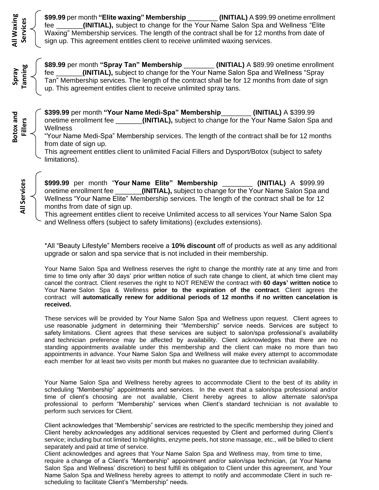**\$99.99** per month **"Elite waxing" Membership** \_\_\_\_\_\_\_\_ **(INITIAL)** A \$99.99 onetime enrollment fee \_\_\_\_\_\_\_**(INITIAL),** subject to change for the Your Name Salon Spa and Wellness "Elite Waxing" Membership services. The length of the contract shall be for 12 months from date of sign up. This agreement entitles client to receive unlimited waxing services.

**\$89.99** per month **"Spray Tan" Membership** \_\_\_\_\_\_\_\_ **(INITIAL)** A \$89.99 onetime enrollment fee \_\_\_\_\_\_\_**(INITIAL),** subject to change for the Your Name Salon Spa and Wellness "Spray Tan" Membership services. The length of the contract shall be for 12 months from date of sign up. This agreement entitles client to receive unlimited spray tans.

**\$399.99** per month **"Your Name Medi-Spa" Membership**\_\_\_\_\_\_\_\_ **(INITIAL)** A \$399.99 onetime enrollment fee \_\_\_\_\_\_\_**(INITIAL),** subject to change for the Your Name Salon Spa and **Wellness** 

"Your Name Medi-Spa" Membership services. The length of the contract shall be for 12 months from date of sign up.

This agreement entitles client to unlimited Facial Fillers and Dysport/Botox (subject to safety limitations).

**All Services All Services**

**All Waxing Services**

**All Waxing** 

**Spray Tanning**

**Botox and Fillers**

> **\$999.99** per month "**Your Name Elite" Membership** \_\_\_\_\_\_\_\_ **(INITIAL)** A \$999.99 onetime enrollment fee \_\_\_\_\_\_\_**(INITIAL),** subject to change for the Your Name Salon Spa and Wellness "Your Name Elite" Membership services. The length of the contract shall be for 12 months from date of sign up.

> This agreement entitles client to receive Unlimited access to all services Your Name Salon Spa and Wellness offers (subject to safety limitations) (excludes extensions).

\*All "Beauty Lifestyle" Members receive a **10% discount** off of products as well as any additional upgrade or salon and spa service that is not included in their membership.

Your Name Salon Spa and Wellness reserves the right to change the monthly rate at any time and from time to time only after 30 days' prior written notice of such rate change to client, at which time client may cancel the contract. Client reserves the right to NOT RENEW the contract with **60 days' written notice** to Your Name Salon Spa & Wellness **prior to the expiration of the contract**. Client agrees the contract will **automatically renew for additional periods of 12 months if no written cancelation is received.** 

These services will be provided by Your Name Salon Spa and Wellness upon request. Client agrees to use reasonable judgment in determining their "Membership" service needs. Services are subject to safety limitations. Client agrees that these services are subject to salon/spa professional's availability and technician preference may be affected by availability. Client acknowledges that there are no standing appointments available under this membership and the client can make no more than two appointments in advance. Your Name Salon Spa and Wellness will make every attempt to accommodate each member for at least two visits per month but makes no guarantee due to technician availability.

Your Name Salon Spa and Wellness hereby agrees to accommodate Client to the best of its ability in scheduling "Membership" appointments and services. In the event that a salon/spa professional and/or time of client's choosing are not available, Client hereby agrees to allow alternate salon/spa professional to perform "Membership" services when Client's standard technician is not available to perform such services for Client.

Client acknowledges that "Membership" services are restricted to the specific membership they joined and Client hereby acknowledges any additional services requested by Client and performed during Client's service; including but not limited to highlights, enzyme peels, hot stone massage, etc., will be billed to client separately and paid at time of service.

Client acknowledges and agrees that Your Name Salon Spa and Wellness may, from time to time, require a change of a Client's "Membership" appointment and/or salon/spa technician, (at Your Name Salon Spa and Wellness' discretion) to best fulfill its obligation to Client under this agreement, and Your Name Salon Spa and Wellness hereby agrees to attempt to notify and accommodate Client in such rescheduling to facilitate Client's "Membership" needs.